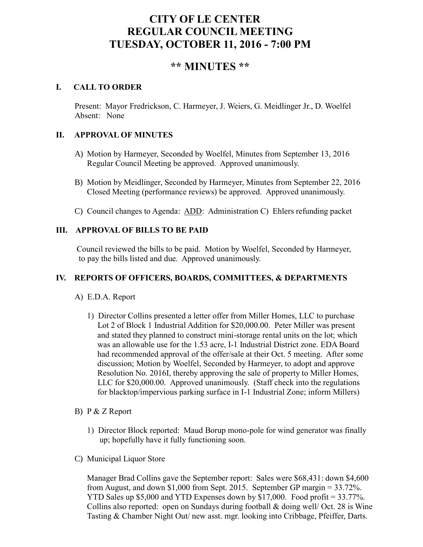# **CITY OF LE CENTER REGULAR COUNCIL MEETING TUESDAY, OCTOBER 11, 2016 - 7:00 PM**

## **\*\* MINUTES \*\***

## **I. CALL TO ORDER**

Present: Mayor Fredrickson, C. Harmeyer, J. Weiers, G. Meidlinger Jr., D. Woelfel Absent: None

## **II. APPROVAL OF MINUTES**

- A) Motion by Harmeyer, Seconded by Woelfel, Minutes from September 13, 2016 Regular Council Meeting be approved. Approved unanimously.
- B) Motion by Meidlinger, Seconded by Harmeyer, Minutes from September 22, 2016 Closed Meeting (performance reviews) be approved. Approved unanimously.
- C) Council changes to Agenda: ADD: Administration C) Ehlers refunding packet

## **III. APPROVAL OF BILLS TO BE PAID**

Council reviewed the bills to be paid. Motion by Woelfel, Seconded by Harmeyer, to pay the bills listed and due. Approved unanimously.

## **IV. REPORTS OF OFFICERS, BOARDS, COMMITTEES, & DEPARTMENTS**

## A) E.D.A. Report

- 1) Director Collins presented a letter offer from Miller Homes, LLC to purchase Lot 2 of Block 1 Industrial Addition for \$20,000.00. Peter Miller was present and stated they planned to construct mini-storage rental units on the lot; which was an allowable use for the 1.53 acre, I-1 Industrial District zone. EDA Board had recommended approval of the offer/sale at their Oct. 5 meeting. After some discussion; Motion by Woelfel, Seconded by Harmeyer, to adopt and approve Resolution No. 2016I, thereby approving the sale of property to Miller Homes, LLC for \$20,000.00. Approved unanimously. (Staff check into the regulations for blacktop/impervious parking surface in I-1 Industrial Zone; inform Millers)
- B) P & Z Report
	- 1) Director Block reported: Maud Borup mono-pole for wind generator was finally up; hopefully have it fully functioning soon.
- C) Municipal Liquor Store

Manager Brad Collins gave the September report: Sales were \$68,431: down \$4,600 from August, and down \$1,000 from Sept. 2015. September GP margin = 33.72%. YTD Sales up \$5,000 and YTD Expenses down by \$17,000. Food profit = 33.77%. Collins also reported: open on Sundays during football & doing well/ Oct. 28 is Wine Tasting & Chamber Night Out/ new asst. mgr. looking into Cribbage, Pfeiffer, Darts.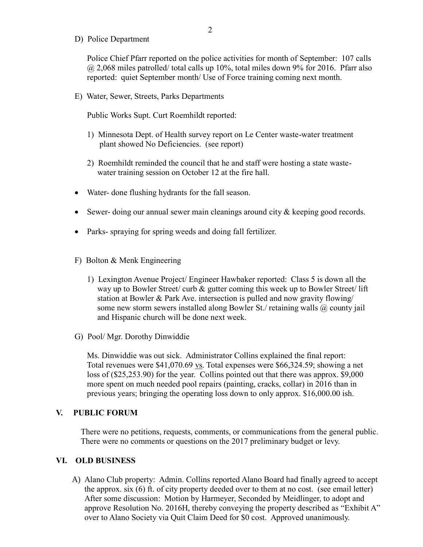D) Police Department

Police Chief Pfarr reported on the police activities for month of September: 107 calls  $@$  2,068 miles patrolled/ total calls up 10%, total miles down 9% for 2016. Pfarr also reported: quiet September month/ Use of Force training coming next month.

E) Water, Sewer, Streets, Parks Departments

Public Works Supt. Curt Roemhildt reported:

- 1) Minnesota Dept. of Health survey report on Le Center waste-water treatment plant showed No Deficiencies. (see report)
- 2) Roemhildt reminded the council that he and staff were hosting a state waste water training session on October 12 at the fire hall.
- Water- done flushing hydrants for the fall season.
- Sewer- doing our annual sewer main cleanings around city  $\&$  keeping good records.
- Parks- spraying for spring weeds and doing fall fertilizer.
- F) Bolton & Menk Engineering
	- 1) Lexington Avenue Project/ Engineer Hawbaker reported: Class 5 is down all the way up to Bowler Street/ curb & gutter coming this week up to Bowler Street/ lift station at Bowler & Park Ave. intersection is pulled and now gravity flowing/ some new storm sewers installed along Bowler St./ retaining walls @ county jail and Hispanic church will be done next week.
- G) Pool/ Mgr. Dorothy Dinwiddie

 Ms. Dinwiddie was out sick. Administrator Collins explained the final report: Total revenues were \$41,070.69 vs. Total expenses were \$66,324.59; showing a net loss of (\$25,253.90) for the year. Collins pointed out that there was approx. \$9,000 more spent on much needed pool repairs (painting, cracks, collar) in 2016 than in previous years; bringing the operating loss down to only approx. \$16,000.00 ish.

#### **V. PUBLIC FORUM**

There were no petitions, requests, comments, or communications from the general public. There were no comments or questions on the 2017 preliminary budget or levy.

#### **VI. OLD BUSINESS**

A) Alano Club property: Admin. Collins reported Alano Board had finally agreed to accept the approx. six (6) ft. of city property deeded over to them at no cost. (see email letter) After some discussion: Motion by Harmeyer, Seconded by Meidlinger, to adopt and approve Resolution No. 2016H, thereby conveying the property described as "Exhibit A" over to Alano Society via Quit Claim Deed for \$0 cost. Approved unanimously.